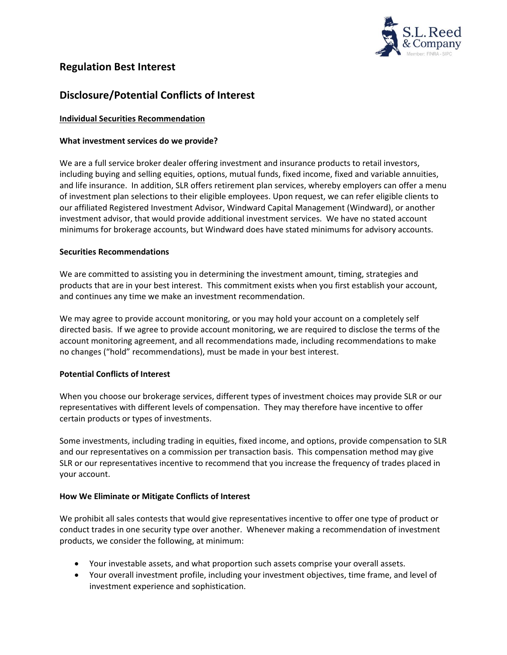

# **Regulation Best Interest**

# **Disclosure/Potential Conflicts of Interest**

## **Individual Securities Recommendation**

#### **What investment services do we provide?**

We are a full service broker dealer offering investment and insurance products to retail investors, including buying and selling equities, options, mutual funds, fixed income, fixed and variable annuities, and life insurance. In addition, SLR offers retirement plan services, whereby employers can offer a menu of investment plan selections to their eligible employees. Upon request, we can refer eligible clients to our affiliated Registered Investment Advisor, Windward Capital Management (Windward), or another investment advisor, that would provide additional investment services. We have no stated account minimums for brokerage accounts, but Windward does have stated minimums for advisory accounts.

#### **Securities Recommendations**

We are committed to assisting you in determining the investment amount, timing, strategies and products that are in your best interest. This commitment exists when you first establish your account, and continues any time we make an investment recommendation.

We may agree to provide account monitoring, or you may hold your account on a completely self directed basis. If we agree to provide account monitoring, we are required to disclose the terms of the account monitoring agreement, and all recommendations made, including recommendations to make no changes ("hold" recommendations), must be made in your best interest.

## **Potential Conflicts of Interest**

When you choose our brokerage services, different types of investment choices may provide SLR or our representatives with different levels of compensation. They may therefore have incentive to offer certain products or types of investments.

Some investments, including trading in equities, fixed income, and options, provide compensation to SLR and our representatives on a commission per transaction basis. This compensation method may give SLR or our representatives incentive to recommend that you increase the frequency of trades placed in your account.

#### **How We Eliminate or Mitigate Conflicts of Interest**

We prohibit all sales contests that would give representatives incentive to offer one type of product or conduct trades in one security type over another. Whenever making a recommendation of investment products, we consider the following, at minimum:

- Your investable assets, and what proportion such assets comprise your overall assets.
- Your overall investment profile, including your investment objectives, time frame, and level of investment experience and sophistication.